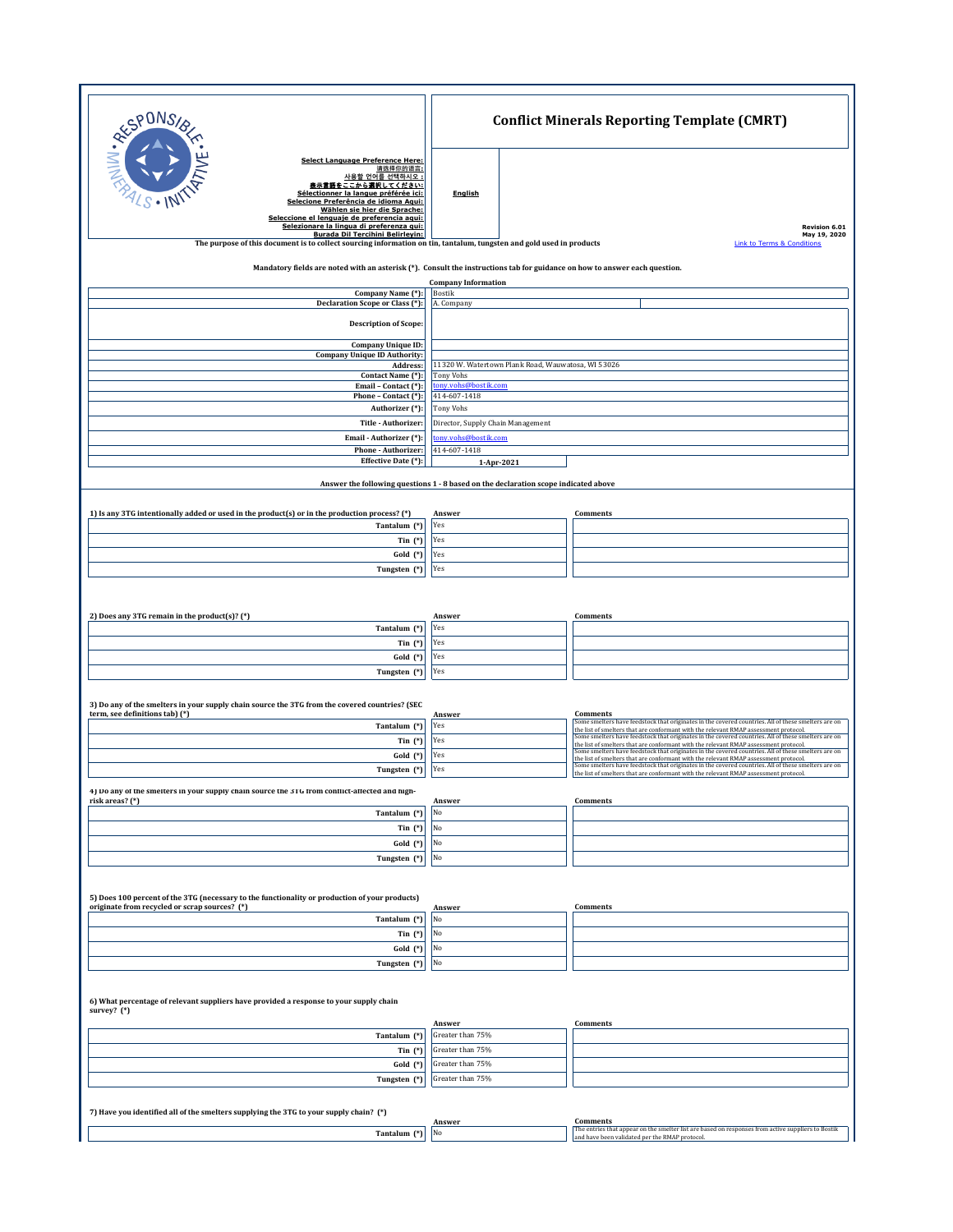| RESPONS                                                                                                                                                                                                  | <b>Conflict Minerals Reporting Template (CMRT)</b>                                  |                                                                                                                                                                                                                                                                                    |  |  |
|----------------------------------------------------------------------------------------------------------------------------------------------------------------------------------------------------------|-------------------------------------------------------------------------------------|------------------------------------------------------------------------------------------------------------------------------------------------------------------------------------------------------------------------------------------------------------------------------------|--|--|
| Select Language Preference Here:<br>请选择你的语言:<br>사용할 언어를 선택하시오 :<br>表示言語をここから選択してください:                                                                                                                    | <b>English</b>                                                                      |                                                                                                                                                                                                                                                                                    |  |  |
| Sélectionner la langue préférée ici:<br>Selecione Preferência de idioma Aqui:<br>Wählen sie hier die Sprache:<br>Seleccione el lenguaie de preferencia agui:<br>Selezionare la lingua di preferenza qui: |                                                                                     | Revision 6.01                                                                                                                                                                                                                                                                      |  |  |
| Burada Dil Tercihini Belirlevin:                                                                                                                                                                         |                                                                                     | May 19, 2020                                                                                                                                                                                                                                                                       |  |  |
| The purpose of this document is to collect sourcing information on tin, tantalum, tungsten and gold used in products                                                                                     |                                                                                     | <b>Link to Terms &amp; Conditions</b>                                                                                                                                                                                                                                              |  |  |
| Mandatory fields are noted with an asterisk (*). Consult the instructions tab for guidance on how to answer each question.                                                                               |                                                                                     |                                                                                                                                                                                                                                                                                    |  |  |
|                                                                                                                                                                                                          | <b>Company Information</b>                                                          |                                                                                                                                                                                                                                                                                    |  |  |
| Company Name (*):                                                                                                                                                                                        | Bostik                                                                              |                                                                                                                                                                                                                                                                                    |  |  |
| Declaration Scope or Class (*):                                                                                                                                                                          | A. Company                                                                          |                                                                                                                                                                                                                                                                                    |  |  |
| <b>Description of Scope:</b><br>Company Unique ID:                                                                                                                                                       |                                                                                     |                                                                                                                                                                                                                                                                                    |  |  |
| <b>Company Unique ID Authority:</b>                                                                                                                                                                      |                                                                                     |                                                                                                                                                                                                                                                                                    |  |  |
| Address:                                                                                                                                                                                                 | 11320 W. Watertown Plank Road, Wauwatosa, WI 53026                                  |                                                                                                                                                                                                                                                                                    |  |  |
| Contact Name (*):<br>Email - Contact (*):                                                                                                                                                                | <b>Tony Vohs</b><br>tony.vohs@bostik.com                                            |                                                                                                                                                                                                                                                                                    |  |  |
| Phone - Contact (*):                                                                                                                                                                                     | 414-607-1418                                                                        |                                                                                                                                                                                                                                                                                    |  |  |
| Authorizer (*):                                                                                                                                                                                          | Tony Vohs                                                                           |                                                                                                                                                                                                                                                                                    |  |  |
| Title - Authorizer:                                                                                                                                                                                      | Director, Supply Chain Management                                                   |                                                                                                                                                                                                                                                                                    |  |  |
| Email - Authorizer (*):                                                                                                                                                                                  | tony.vohs@bostik.com                                                                |                                                                                                                                                                                                                                                                                    |  |  |
| Phone - Authorizer:<br>Effective Date (*):                                                                                                                                                               | 414-607-1418<br>1-Apr-2021                                                          |                                                                                                                                                                                                                                                                                    |  |  |
|                                                                                                                                                                                                          |                                                                                     |                                                                                                                                                                                                                                                                                    |  |  |
|                                                                                                                                                                                                          | Answer the following questions 1 - 8 based on the declaration scope indicated above |                                                                                                                                                                                                                                                                                    |  |  |
| 1) Is any 3TG intentionally added or used in the product(s) or in the production process? (*)                                                                                                            | Answer                                                                              | Comments                                                                                                                                                                                                                                                                           |  |  |
| Tantalum (*)                                                                                                                                                                                             | Yes                                                                                 |                                                                                                                                                                                                                                                                                    |  |  |
| Tin $(*)$                                                                                                                                                                                                | Yes                                                                                 |                                                                                                                                                                                                                                                                                    |  |  |
| Gold (*)                                                                                                                                                                                                 | Yes                                                                                 |                                                                                                                                                                                                                                                                                    |  |  |
| Tungsten (*)                                                                                                                                                                                             | Yes                                                                                 |                                                                                                                                                                                                                                                                                    |  |  |
| 2) Does any 3TG remain in the product(s)? (*)<br>Tantalum (*)                                                                                                                                            | Answer<br>Yes                                                                       | Comments                                                                                                                                                                                                                                                                           |  |  |
| Tin $(*)$                                                                                                                                                                                                | Yes                                                                                 |                                                                                                                                                                                                                                                                                    |  |  |
| Gold (*)                                                                                                                                                                                                 | Yes                                                                                 |                                                                                                                                                                                                                                                                                    |  |  |
| Tungsten (*)                                                                                                                                                                                             | Yes                                                                                 |                                                                                                                                                                                                                                                                                    |  |  |
| 3) Do any of the smelters in your supply chain source the 3TG from the covered countries? (SEC<br>term, see definitions tab) (*)                                                                         | Answer                                                                              | <b>Comments</b>                                                                                                                                                                                                                                                                    |  |  |
| Tantalum (*)                                                                                                                                                                                             | Yes                                                                                 | Some smelters have feedstock that originates in the covered countries. All of these smelters are on<br>the list of smelters that are conformant with the relevant RMAP assessment protocol.                                                                                        |  |  |
| Tin $(*)$                                                                                                                                                                                                | Yes                                                                                 | Some smelters have feedstock that originates in the covered countries. All of these smelters are on                                                                                                                                                                                |  |  |
| Gold (*)                                                                                                                                                                                                 | Yes                                                                                 | the list of smelters that are conformant with the relevant RMAP assessment protocol.<br>Some smelters have feedstock that originates in the covered countries. All of these smelters are on                                                                                        |  |  |
| Tungsten (*)                                                                                                                                                                                             | Yes                                                                                 | the list of smelters that are conformant with the relevant RMAP assessment protocol.<br>Some smelters have feedstock that originates in the covered countries. All of these smelters are on<br>the list of smelters that are conformant with the relevant RMAP assessment protocol |  |  |
| 4) Do any of the smelters in your supply chain source the 3TG from conflict-affected and high-                                                                                                           |                                                                                     |                                                                                                                                                                                                                                                                                    |  |  |
| risk areas? (*)<br>Tantalum (*)                                                                                                                                                                          | Answer<br>No                                                                        | Comments                                                                                                                                                                                                                                                                           |  |  |
| Tin $(*)$                                                                                                                                                                                                | No                                                                                  |                                                                                                                                                                                                                                                                                    |  |  |
| Gold (*)                                                                                                                                                                                                 | No                                                                                  |                                                                                                                                                                                                                                                                                    |  |  |
| Tungsten (*)                                                                                                                                                                                             | No                                                                                  |                                                                                                                                                                                                                                                                                    |  |  |
|                                                                                                                                                                                                          |                                                                                     |                                                                                                                                                                                                                                                                                    |  |  |
| 5) Does 100 percent of the 3TG (necessary to the functionality or production of your products)                                                                                                           |                                                                                     |                                                                                                                                                                                                                                                                                    |  |  |
| originate from recycled or scrap sources? (*)<br>Tantalum (*)                                                                                                                                            | Answer<br>No                                                                        | Comments                                                                                                                                                                                                                                                                           |  |  |
| Tin $(*)$                                                                                                                                                                                                | No                                                                                  |                                                                                                                                                                                                                                                                                    |  |  |
| Gold (*)                                                                                                                                                                                                 | No                                                                                  |                                                                                                                                                                                                                                                                                    |  |  |
| Tungsten (*)                                                                                                                                                                                             | No                                                                                  |                                                                                                                                                                                                                                                                                    |  |  |
| 6) What percentage of relevant suppliers have provided a response to your supply chain<br>survey? (*)                                                                                                    |                                                                                     | Comments                                                                                                                                                                                                                                                                           |  |  |
| Tantalum (*)                                                                                                                                                                                             | Answer<br>Greater than 75%                                                          |                                                                                                                                                                                                                                                                                    |  |  |
| Tin $(*)$                                                                                                                                                                                                | Greater than 75%                                                                    |                                                                                                                                                                                                                                                                                    |  |  |
| $Gold (*)$                                                                                                                                                                                               | Greater than 75%                                                                    |                                                                                                                                                                                                                                                                                    |  |  |
| Tungsten (*)                                                                                                                                                                                             | Greater than 75%                                                                    |                                                                                                                                                                                                                                                                                    |  |  |
|                                                                                                                                                                                                          |                                                                                     |                                                                                                                                                                                                                                                                                    |  |  |
| 7) Have you identified all of the smelters supplying the 3TG to your supply chain? (*)<br><b>Comments</b>                                                                                                |                                                                                     |                                                                                                                                                                                                                                                                                    |  |  |
| Tantalum (*)                                                                                                                                                                                             | Answer<br>No                                                                        | The entries that appear on the smelter list are based on responses from active suppliers to Bostik<br>and have been validated per the RMAP protocol                                                                                                                                |  |  |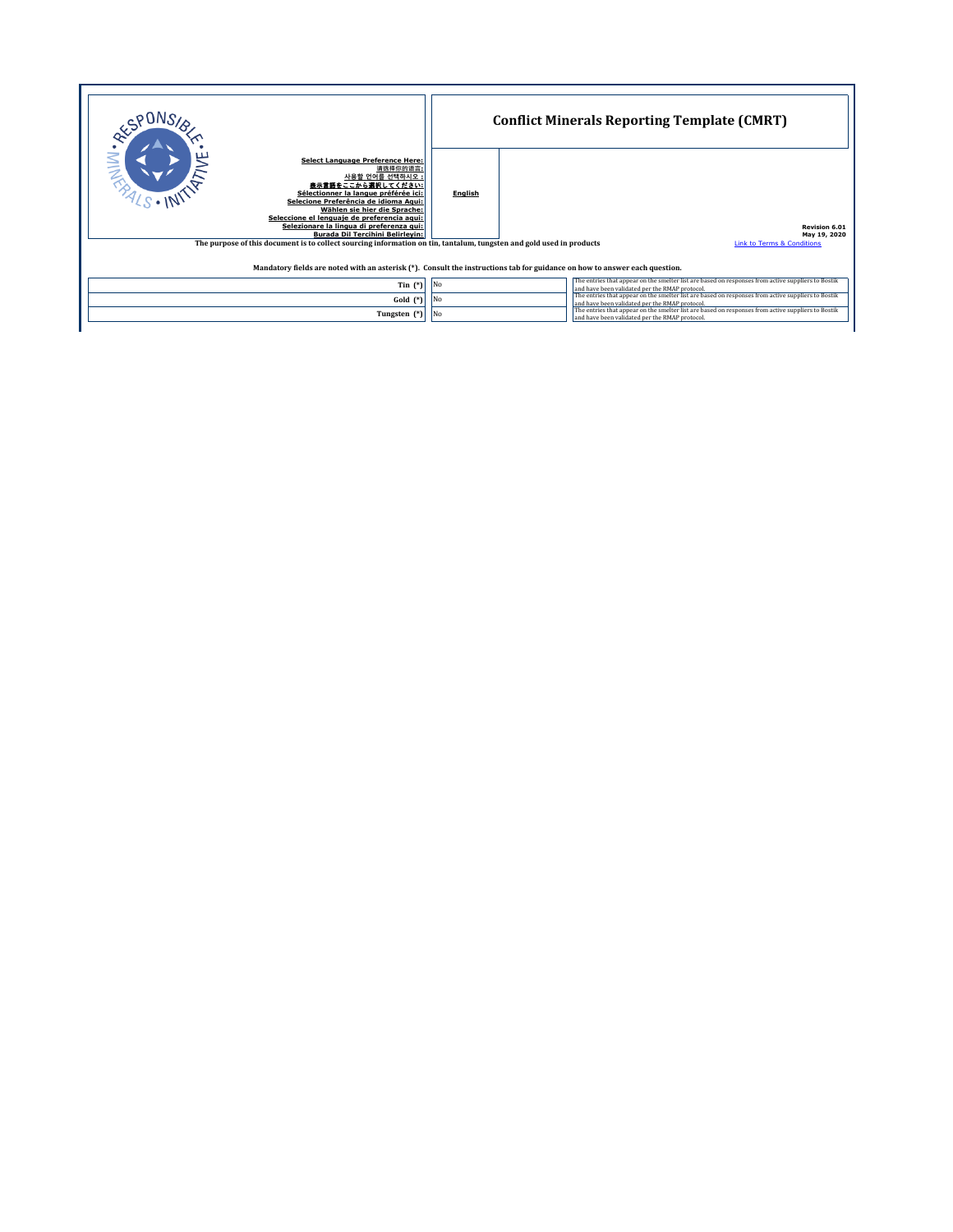|                                                                                                                                                                                                                                                                                                                                                                                                                                                               | <b>Conflict Minerals Reporting Template (CMRT)</b> |                                                                                                                                                      |  |  |
|---------------------------------------------------------------------------------------------------------------------------------------------------------------------------------------------------------------------------------------------------------------------------------------------------------------------------------------------------------------------------------------------------------------------------------------------------------------|----------------------------------------------------|------------------------------------------------------------------------------------------------------------------------------------------------------|--|--|
| Select Language Preference Here:<br>请选择你的语言:<br>사용할 언어를 선택하시오 :<br>豊示言語をここから選択してください:<br>Sélectionner la langue préférée ici:<br>Selecione Preferência de idioma Agui:<br>Wählen sie hier die Sprache:<br>Seleccione el lenguaie de preferencia agui:<br>Selezionare la lingua di preferenza qui:<br>Burada Dil Tercihini Belirlevin:<br>The purpose of this document is to collect sourcing information on tin, tantalum, tungsten and gold used in products | English                                            | Revision 6.01<br>May 19, 2020<br><b>Link to Terms &amp; Conditions</b>                                                                               |  |  |
| Mandatory fields are noted with an asterisk (*). Consult the instructions tab for guidance on how to answer each question.                                                                                                                                                                                                                                                                                                                                    |                                                    |                                                                                                                                                      |  |  |
| Tin $(*)$                                                                                                                                                                                                                                                                                                                                                                                                                                                     | No                                                 | The entries that appear on the smelter list are based on responses from active suppliers to Bostik<br>and have been validated per the RMAP protocol. |  |  |
| Gold $(*)$                                                                                                                                                                                                                                                                                                                                                                                                                                                    | No                                                 | The entries that appear on the smelter list are based on responses from active suppliers to Bostik<br>and have been validated per the RMAP protocol. |  |  |
| Tungsten (*)                                                                                                                                                                                                                                                                                                                                                                                                                                                  | N <sub>o</sub>                                     | The entries that appear on the smelter list are based on responses from active suppliers to Bostik<br>and have been validated per the RMAP protocol. |  |  |